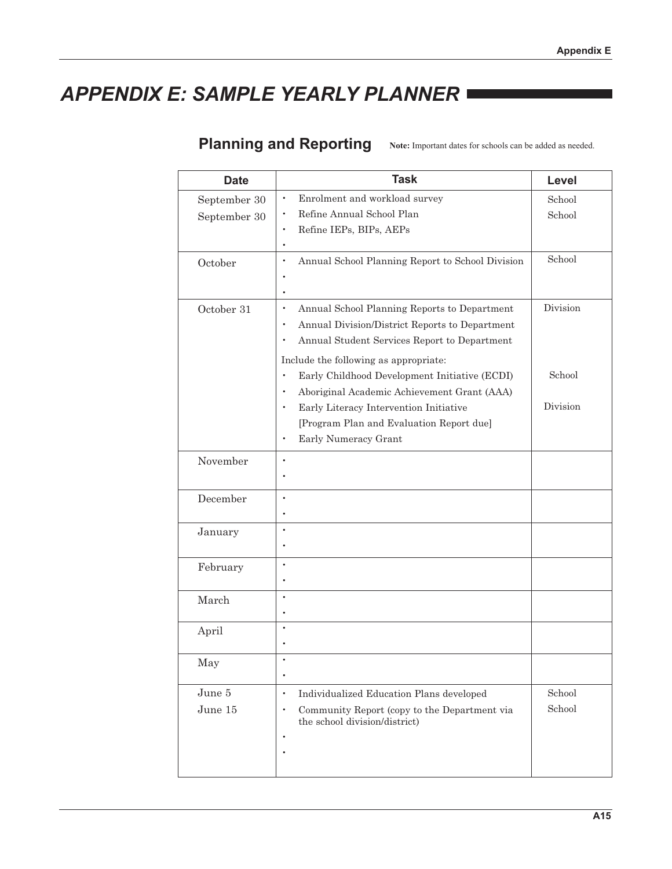# **APPENDIX E: SAMPLE YEARLY PLANNER =**

### Planning and Reporting Note: Important dates for schools can be added as needed.

| <b>Date</b>  | <b>Task</b>                                                                                                                                                                                                                    | Level    |
|--------------|--------------------------------------------------------------------------------------------------------------------------------------------------------------------------------------------------------------------------------|----------|
| September 30 | Enrolment and workload survey<br>$\bullet$                                                                                                                                                                                     | School   |
| September 30 | Refine Annual School Plan                                                                                                                                                                                                      | School   |
|              | Refine IEPs, BIPs, AEPs<br>$\bullet$<br>٠                                                                                                                                                                                      |          |
| October      | Annual School Planning Report to School Division<br>$\bullet$                                                                                                                                                                  | School   |
| October 31   | Annual School Planning Reports to Department<br>$\bullet$<br>Annual Division/District Reports to Department<br>$\bullet$<br>Annual Student Services Report to Department<br>$\bullet$<br>Include the following as appropriate: | Division |
|              | Early Childhood Development Initiative (ECDI)<br>$\bullet$<br>Aboriginal Academic Achievement Grant (AAA)                                                                                                                      | School   |
|              | Early Literacy Intervention Initiative<br>$\bullet$<br>[Program Plan and Evaluation Report due]<br>Early Numeracy Grant<br>$\bullet$                                                                                           | Division |
| November     | $\bullet$                                                                                                                                                                                                                      |          |
| December     | $\bullet$                                                                                                                                                                                                                      |          |
| January      | $\bullet$<br>$\bullet$                                                                                                                                                                                                         |          |
| February     | $\bullet$                                                                                                                                                                                                                      |          |
| March        | $\bullet$                                                                                                                                                                                                                      |          |
| April        |                                                                                                                                                                                                                                |          |
| May          | $\bullet$                                                                                                                                                                                                                      |          |
| June 5       | Individualized Education Plans developed<br>$\bullet$                                                                                                                                                                          | School   |
| June 15      | Community Report (copy to the Department via<br>$\bullet$<br>the school division/district)<br>٠                                                                                                                                | School   |
|              |                                                                                                                                                                                                                                |          |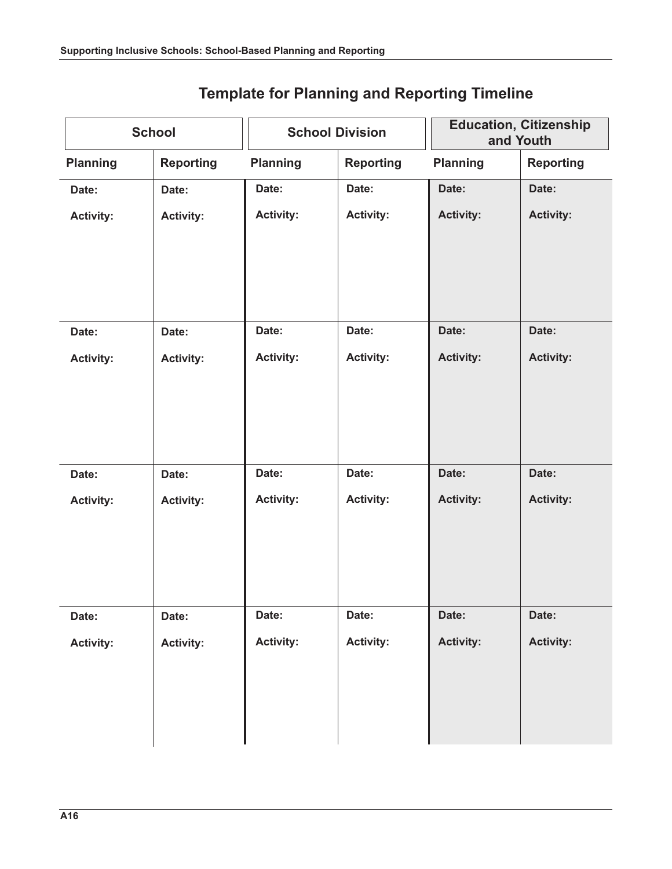| <b>School</b>    |                  | <b>School Division</b> |                  | <b>Education, Citizenship</b><br>and Youth |                  |
|------------------|------------------|------------------------|------------------|--------------------------------------------|------------------|
| <b>Planning</b>  | <b>Reporting</b> | <b>Planning</b>        | <b>Reporting</b> | <b>Planning</b>                            | <b>Reporting</b> |
| Date:            | Date:            | Date:                  | Date:            | Date:                                      | Date:            |
| <b>Activity:</b> | <b>Activity:</b> | <b>Activity:</b>       | <b>Activity:</b> | <b>Activity:</b>                           | <b>Activity:</b> |
|                  |                  |                        |                  |                                            |                  |
| Date:            | Date:            | Date:                  | Date:            | Date:                                      | Date:            |
| <b>Activity:</b> | <b>Activity:</b> | <b>Activity:</b>       | <b>Activity:</b> | <b>Activity:</b>                           | <b>Activity:</b> |
|                  |                  |                        |                  |                                            |                  |
| Date:            | Date:            | Date:                  | Date:            | Date:                                      | Date:            |
| <b>Activity:</b> | <b>Activity:</b> | <b>Activity:</b>       | <b>Activity:</b> | <b>Activity:</b>                           | <b>Activity:</b> |
| Date:            | Date:            | Date:                  | Date:            | Date:                                      | Date:            |
| <b>Activity:</b> | <b>Activity:</b> | <b>Activity:</b>       | <b>Activity:</b> | <b>Activity:</b>                           | <b>Activity:</b> |

## **Template for Planning and Reporting Timeline**